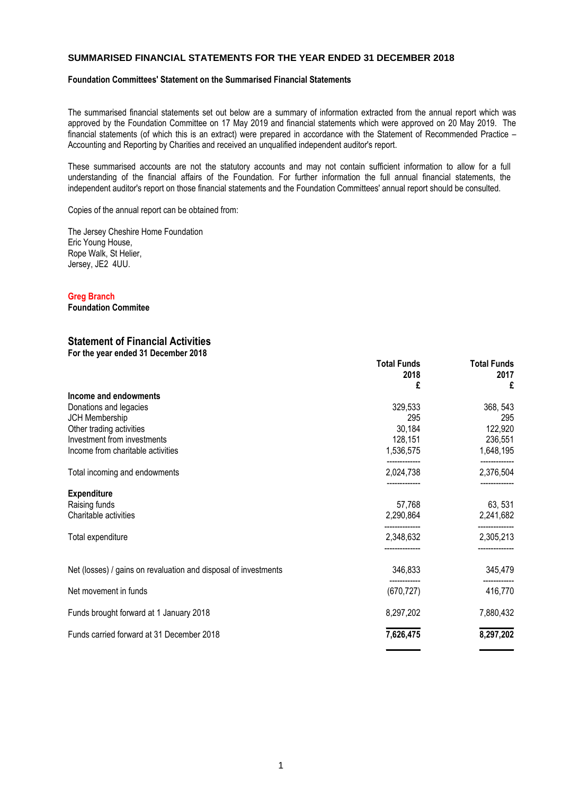## **SUMMARISED FINANCIAL STATEMENTS FOR THE YEAR ENDED 31 DECEMBER 2018**

### **Foundation Committees' Statement on the Summarised Financial Statements**

The summarised financial statements set out below are a summary of information extracted from the annual report which was approved by the Foundation Committee on 17 May 2019 and financial statements which were approved on 20 May 2019. The financial statements (of which this is an extract) were prepared in accordance with the Statement of Recommended Practice – Accounting and Reporting by Charities and received an unqualified independent auditor's report.

These summarised accounts are not the statutory accounts and may not contain sufficient information to allow for a full understanding of the financial affairs of the Foundation. For further information the full annual financial statements, the independent auditor's report on those financial statements and the Foundation Committees' annual report should be consulted.

Copies of the annual report can be obtained from:

The Jersey Cheshire Home Foundation Eric Young House, Rope Walk, St Helier, Jersey, JE2 4UU.

## **Greg Branch**

**Foundation Commitee**

#### **Statement of Financial Activities For the year ended 31 December 2018**

|                                                                 | <b>Total Funds</b> | <b>Total Funds</b> |
|-----------------------------------------------------------------|--------------------|--------------------|
|                                                                 | 2018<br>£          | 2017<br>£          |
| Income and endowments                                           |                    |                    |
| Donations and legacies                                          | 329,533            | 368, 543           |
| JCH Membership                                                  | 295                | 295                |
| Other trading activities                                        | 30,184             | 122,920            |
| Investment from investments                                     | 128,151            | 236,551            |
| Income from charitable activities                               | 1,536,575          | 1,648,195          |
| Total incoming and endowments                                   | 2,024,738          | 2,376,504          |
| <b>Expenditure</b>                                              |                    |                    |
| Raising funds                                                   | 57,768             | 63, 531            |
| Charitable activities                                           | 2,290,864          | 2,241,682          |
| Total expenditure                                               | 2,348,632          | 2,305,213          |
| Net (losses) / gains on revaluation and disposal of investments | 346,833            | 345,479            |
| Net movement in funds                                           | (670, 727)         | 416,770            |
| Funds brought forward at 1 January 2018                         | 8,297,202          | 7,880,432          |
| Funds carried forward at 31 December 2018                       | 7,626,475          | 8,297,202          |
|                                                                 |                    |                    |